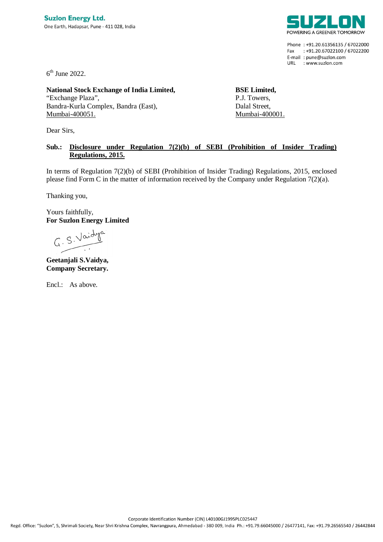

Phone: +91.20.61356135 / 67022000 Fax: +91.20.67022100 / 67022200 E-mail: pune@suzlon.com URL : www.suzlon.com

 $6<sup>th</sup>$  June 2022.

**National Stock Exchange of India Limited,** "Exchange Plaza", Bandra-Kurla Complex, Bandra (East), Mumbai-400051.

Dear Sirs,

**BSE Limited,** P.J. Towers, Dalal Street, Mumbai-400001.

## **Sub.: Disclosure under Regulation 7(2)(b) of SEBI (Prohibition of Insider Trading) Regulations, 2015.**

In terms of Regulation 7(2)(b) of SEBI (Prohibition of Insider Trading) Regulations, 2015, enclosed please find Form C in the matter of information received by the Company under Regulation 7(2)(a).

Thanking you,

Yours faithfully, **For Suzlon Energy Limited**

 $G. S. Vaid$ 

**Geetanjali S.Vaidya, Company Secretary.**

Encl.: As above.